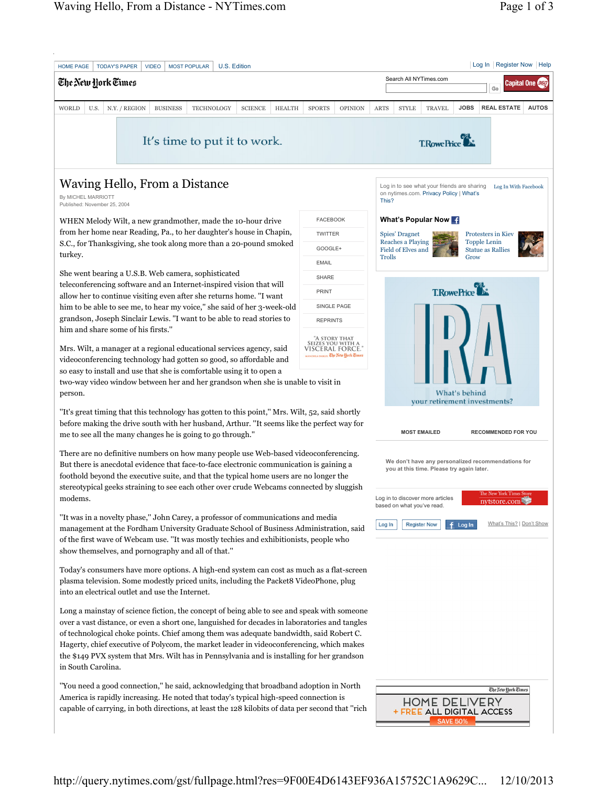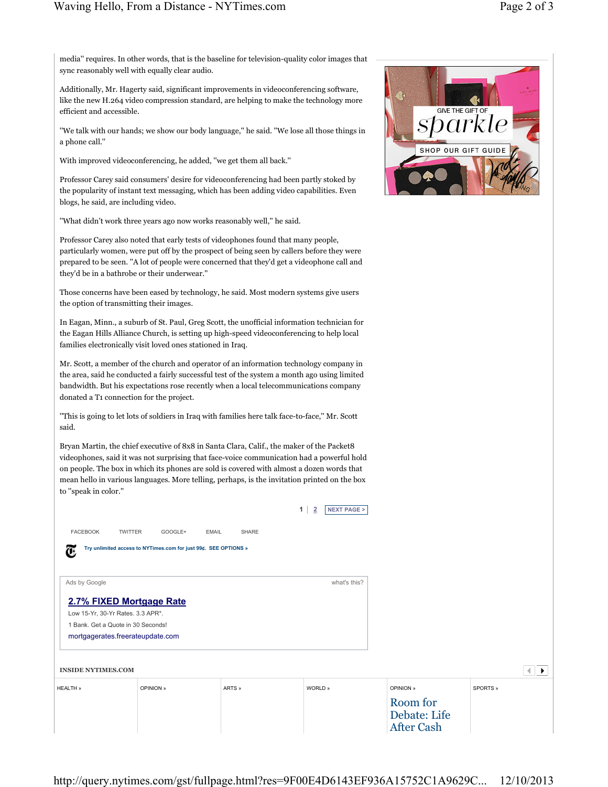media'' requires. In other words, that is the baseline for television-quality color images that sync reasonably well with equally clear audio.

Additionally, Mr. Hagerty said, significant improvements in videoconferencing software, like the new H.264 video compression standard, are helping to make the technology more efficient and accessible.

''We talk with our hands; we show our body language,'' he said. ''We lose all those things in a phone call.''

With improved videoconferencing, he added, ''we get them all back.''

Professor Carey said consumers' desire for videoconferencing had been partly stoked by the popularity of instant text messaging, which has been adding video capabilities. Even blogs, he said, are including video.

''What didn't work three years ago now works reasonably well,'' he said.

Professor Carey also noted that early tests of videophones found that many people, particularly women, were put off by the prospect of being seen by callers before they were prepared to be seen. ''A lot of people were concerned that they'd get a videophone call and they'd be in a bathrobe or their underwear.''

Those concerns have been eased by technology, he said. Most modern systems give users the option of transmitting their images.

In Eagan, Minn., a suburb of St. Paul, Greg Scott, the unofficial information technician for the Eagan Hills Alliance Church, is setting up high-speed videoconferencing to help local families electronically visit loved ones stationed in Iraq.

Mr. Scott, a member of the church and operator of an information technology company in the area, said he conducted a fairly successful test of the system a month ago using limited bandwidth. But his expectations rose recently when a local telecommunications company donated a T1 connection for the project.

''This is going to let lots of soldiers in Iraq with families here talk face-to-face,'' Mr. Scott said.

Bryan Martin, the chief executive of 8x8 in Santa Clara, Calif., the maker of the Packet8 videophones, said it was not surprising that face-voice communication had a powerful hold on people. The box in which its phones are sold is covered with almost a dozen words that mean hello in various languages. More telling, perhaps, is the invitation printed on the box to ''speak in color.''

|                                                                        |                |                                                                 |              |              | $\mathbf{1}$ | $\overline{2}$ | <b>NEXT PAGE &gt;</b> |                                               |          |    |
|------------------------------------------------------------------------|----------------|-----------------------------------------------------------------|--------------|--------------|--------------|----------------|-----------------------|-----------------------------------------------|----------|----|
| <b>FACEBOOK</b>                                                        | <b>TWITTER</b> | GOOGLE+                                                         | <b>EMAIL</b> | <b>SHARE</b> |              |                |                       |                                               |          |    |
| Œ                                                                      |                | Try unlimited access to NYTimes.com for just 99¢. SEE OPTIONS » |              |              |              |                |                       |                                               |          |    |
| Ads by Google                                                          |                |                                                                 |              |              |              |                | what's this?          |                                               |          |    |
| 2.7% FIXED Mortgage Rate<br>Low 15-Yr, 30-Yr Rates. 3.3 APR*.          |                |                                                                 |              |              |              |                |                       |                                               |          |    |
| 1 Bank. Get a Quote in 30 Seconds!<br>mortgagerates.freerateupdate.com |                |                                                                 |              |              |              |                |                       |                                               |          |    |
|                                                                        |                |                                                                 |              |              |              |                |                       |                                               |          |    |
| <b>INSIDE NYTIMES.COM</b>                                              |                |                                                                 |              |              |              |                |                       |                                               |          | ⊪∙ |
| <b>HEALTH »</b>                                                        |                | OPINION »                                                       | ARTS »       |              |              | WORLD »        |                       | OPINION »                                     | SPORTS » |    |
|                                                                        |                |                                                                 |              |              |              |                |                       | Room for<br>Debate: Life<br><b>After Cash</b> |          |    |